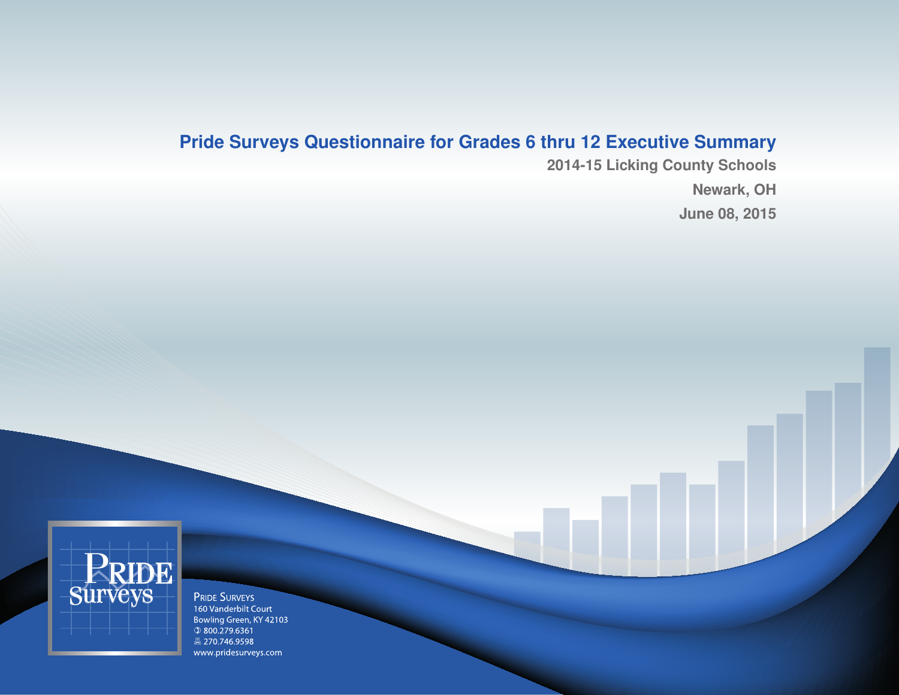# **Pride Surveys Questionnaire for Grades 6 thru 12 Executive Summary**

**2014-15 Licking County Schools Newark, OH June 08, 2015**



**PRIDE SURVEYS** 160 Vanderbilt Court Bowling Green, KY 42103  $@800.279.6361$ ■ 270.746.9598 www.pridesurveys.com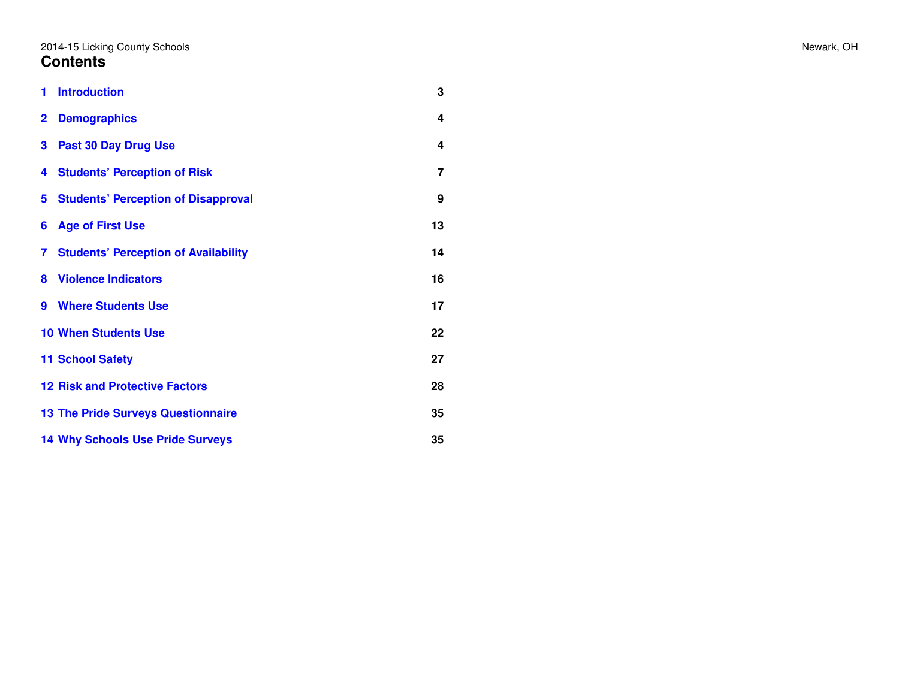#### **Contents**

| 1            | <b>Introduction</b>                         | 3              |
|--------------|---------------------------------------------|----------------|
| $\mathbf{2}$ | <b>Demographics</b>                         | 4              |
| 3            | <b>Past 30 Day Drug Use</b>                 | 4              |
| 4            | <b>Students' Perception of Risk</b>         | $\overline{7}$ |
| 5            | <b>Students' Perception of Disapproval</b>  | 9              |
| 6            | <b>Age of First Use</b>                     | 13             |
| 7            | <b>Students' Perception of Availability</b> | 14             |
| 8            | <b>Violence Indicators</b>                  | 16             |
| 9            | <b>Where Students Use</b>                   | 17             |
|              | <b>10 When Students Use</b>                 | 22             |
|              | <b>11 School Safety</b>                     | 27             |
|              | <b>12 Risk and Protective Factors</b>       | 28             |
|              | <b>13 The Pride Surveys Questionnaire</b>   | 35             |
|              | <b>14 Why Schools Use Pride Surveys</b>     | 35             |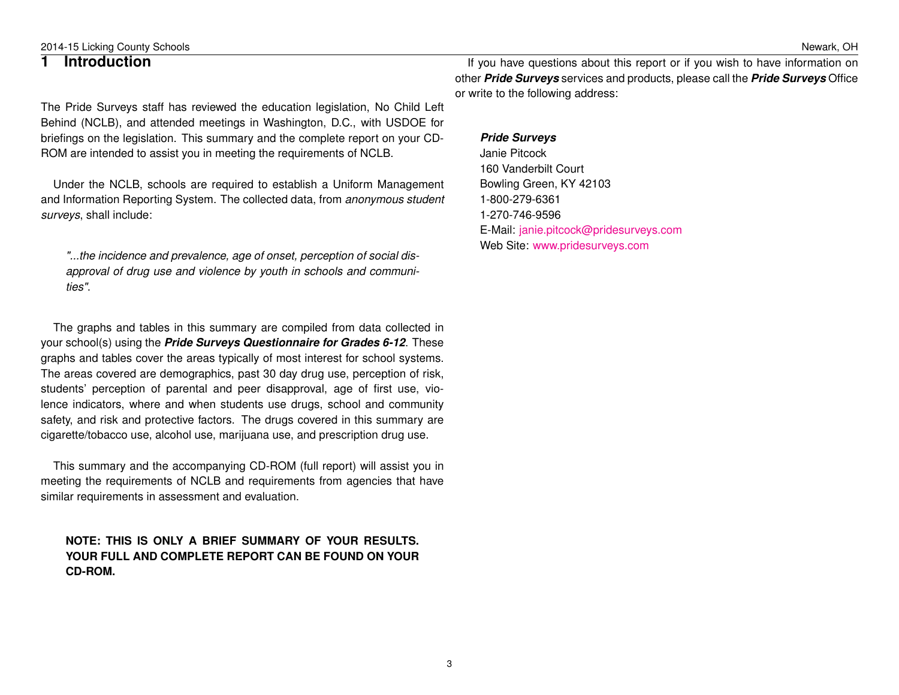3

2014-15 Licking County Schools Newark, OH

#### <span id="page-2-0"></span>**1 Introduction**

The Pride Surveys staff has reviewed the education legislation, No Child Left Behind (NCLB), and attended meetings in Washington, D.C., with USDOE for briefings on the legislation. This summary and the complete report on your CD-ROM are intended to assist you in meeting the requirements of NCLB.

Under the NCLB, schools are required to establish a Uniform Management and Information Reporting System. The collected data, from *anonymous student surveys*, shall include:

*"...the incidence and prevalence, age of onset, perception of social disapproval of drug use and violence by youth in schools and communities"*.

The graphs and tables in this summary are compiled from data collected in your school(s) using the *Pride Surveys Questionnaire for Grades 6-12*. These graphs and tables cover the areas typically of most interest for school systems. The areas covered are demographics, past 30 day drug use, perception of risk, students' perception of parental and peer disapproval, age of first use, violence indicators, where and when students use drugs, school and community safety, and risk and protective factors. The drugs covered in this summary are cigarette/tobacco use, alcohol use, marijuana use, and prescription drug use.

This summary and the accompanying CD-ROM (full report) will assist you in meeting the requirements of NCLB and requirements from agencies that have similar requirements in assessment and evaluation.

#### **NOTE: THIS IS ONLY A BRIEF SUMMARY OF YOUR RESULTS. YOUR FULL AND COMPLETE REPORT CAN BE FOUND ON YOUR CD-ROM.**

If you have questions about this report or if you wish to have information on other *Pride Surveys* services and products, please call the *Pride Surveys* Office or write to the following address:

#### *Pride Surveys*

Janie Pitcock 160 Vanderbilt Court Bowling Green, KY 42103 1-800-279-6361 1-270-746-9596 E-Mail: [janie.pitcock@pridesurveys.com](mailto:janie.pitcock@pridesurveys.com) Web Site: [www.pridesurveys.com](http://www.pridesurveys.com)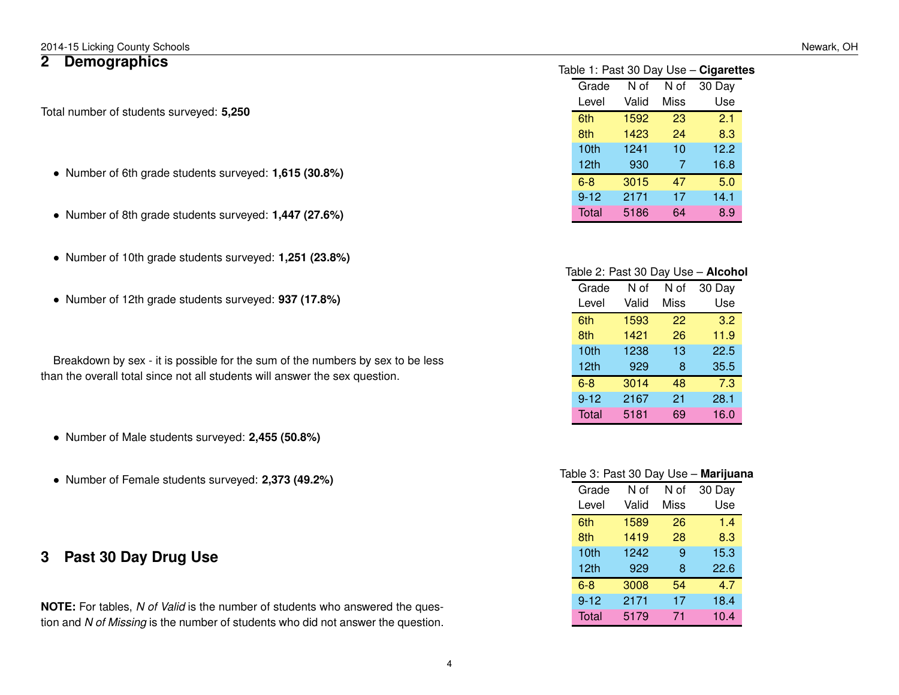### <span id="page-3-0"></span>**2 Demographics**

Total number of students surveyed: **5,250**

- Number of 6th grade students surveyed: **1,615 (30.8%)**
- Number of 8th grade students surveyed: **1,447 (27.6%)**
- Number of 10th grade students surveyed: **1,251 (23.8%)**
- Number of 12th grade students surveyed: **937 (17.8%)**

Breakdown by sex - it is possible for the sum of the numbers by sex to be less than the overall total since not all students will answer the sex question.

- Number of Male students surveyed: **2,455 (50.8%)**
- Number of Female students surveyed: **2,373 (49.2%)**

### <span id="page-3-1"></span>**3 Past 30 Day Drug Use**

**NOTE:** For tables, *N of Valid* is the number of students who answered the question and *N of Missing* is the number of students who did not answer the question.

Table 1: Past 30 Day Use – **Cigarettes**

| Grade        | N of  | N of | 30 Day |
|--------------|-------|------|--------|
| Level        | Valid | Miss | Use    |
| 6th          | 1592  | 23   | 2.1    |
| 8th          | 1423  | 24   | 8.3    |
| 10th         | 1241  | 10   | 12.2   |
| 12th         | 930   | 7    | 16.8   |
| $6 - 8$      | 3015  | 47   | 5.0    |
| $9 - 12$     | 2171  | 17   | 14.1   |
| <b>Total</b> | 5186  | 64   | 8.9    |
|              |       |      |        |

| Table 2: Past 30 Day Use - Alcohol |       |      |        |  |
|------------------------------------|-------|------|--------|--|
| Grade                              | N of  | N of | 30 Day |  |
| Level                              | Valid | Miss | Use    |  |
| 6th                                | 1593  | 22   | 3.2    |  |
| 8th                                | 1421  | 26   | 11.9   |  |
| 10th                               | 1238  | 13   | 22.5   |  |
| 12 <sub>th</sub>                   | 929   | 8    | 35.5   |  |
| $6 - 8$                            | 3014  | 48   | 7.3    |  |
| $9 - 12$                           | 2167  | 21   | 28.1   |  |
| Total                              | 5181  | 69   | 16.0   |  |

| Table 3: Past 30 Day Use – <b>Marijuana</b> |
|---------------------------------------------|
|---------------------------------------------|

| Grade        | N of  | N of        | 30 Day |
|--------------|-------|-------------|--------|
| Level        | Valid | <b>Miss</b> | Use    |
| 6th          | 1589  | 26          | 1.4    |
| 8th          | 1419  | 28          | 8.3    |
| 10th         | 1242  | 9           | 15.3   |
| 12th         | 929   | 8           | 22.6   |
| $6 - 8$      | 3008  | 54          | 4.7    |
| $9 - 12$     | 2171  | 17          | 18.4   |
| <b>Total</b> | 5179  | 71          | 10.4   |
|              |       |             |        |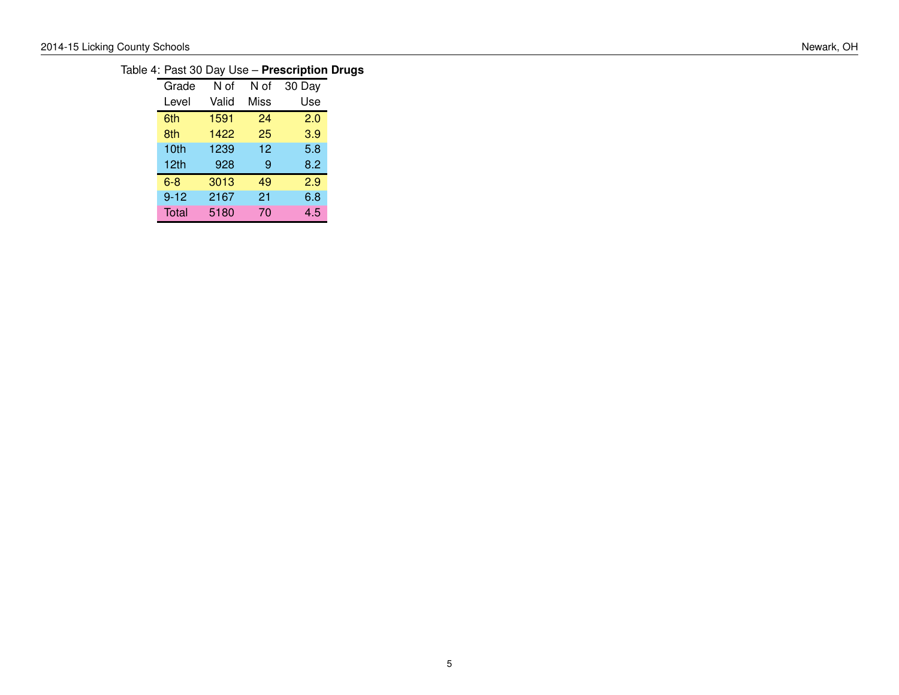### Table 4: Past 30 Day Use – **Prescription Drugs**

| Grade    | N of  | N of | 30 Day |
|----------|-------|------|--------|
| Level    | Valid | Miss | Use    |
| 6th      | 1591  | 24   | 2.0    |
| 8th      | 1422  | 25   | 3.9    |
| 10th     | 1239  | 12   | 5.8    |
| 12th     | 928   | 9    | 8.2    |
| $6 - 8$  | 3013  | 49   | 2.9    |
| $9 - 12$ | 2167  | 21   | 6.8    |
| Total    | 5180  | 70   | 4.5    |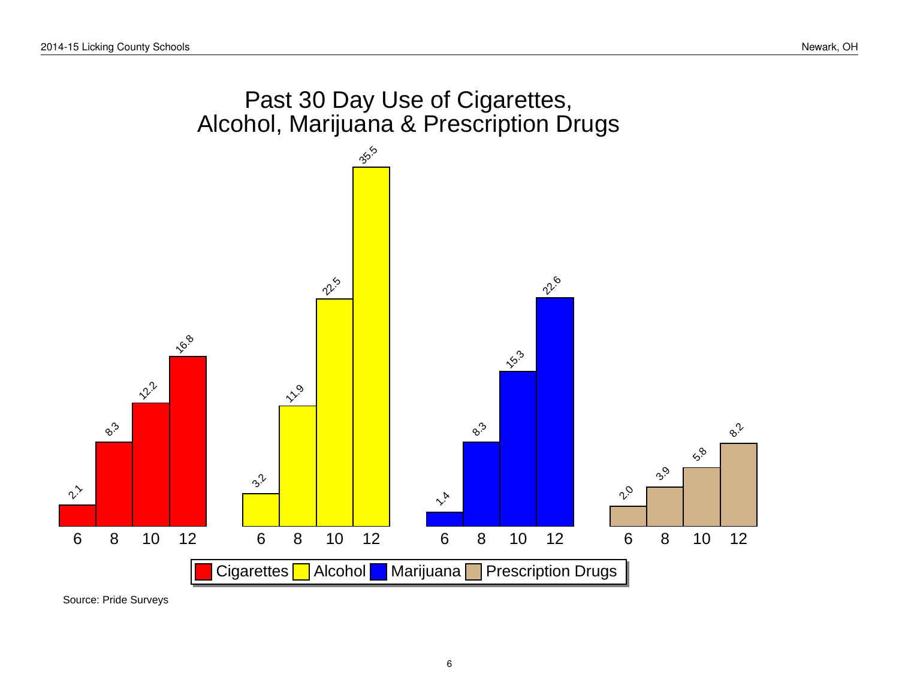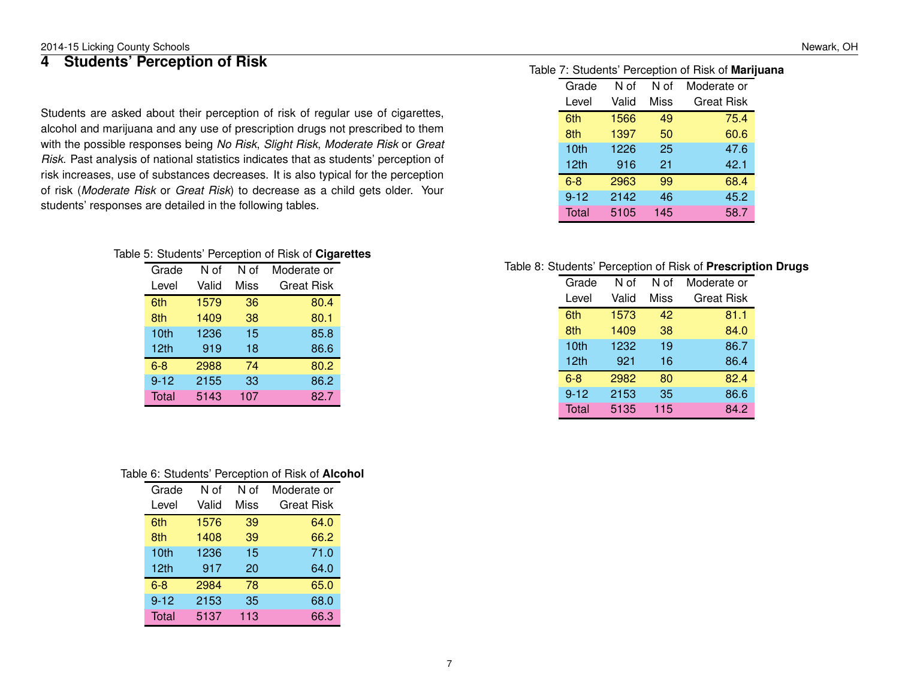## <span id="page-6-0"></span>**4 Students' Perception of Risk**

Students are asked about their perception of risk of regular use of cigarettes, alcohol and marijuana and any use of prescription drugs not prescribed to them with the possible responses being *No Risk*, *Slight Risk*, *Moderate Risk* or *Great Risk*. Past analysis of national statistics indicates that as students' perception of risk increases, use of substances decreases. It is also typical for the perception of risk (*Moderate Risk* or *Great Risk*) to decrease as a child gets older. Your students' responses are detailed in the following tables.

#### Table 5: Students' Perception of Risk of **Cigarettes**

| Grade    | N of  | N of        | Moderate or       |
|----------|-------|-------------|-------------------|
| Level    | Valid | <b>Miss</b> | <b>Great Risk</b> |
| 6th      | 1579  | 36          | 80.4              |
| 8th      | 1409  | 38          | 80.1              |
| 10th     | 1236  | 15          | 85.8              |
| 12th     | 919   | 18          | 86.6              |
| $6 - 8$  | 2988  | 74          | 80.2              |
| $9 - 12$ | 2155  | 33          | 86.2              |
| Total    | 5143  | 107         | 82.7              |

#### Table 6: Students' Perception of Risk of **Alcohol**

| Grade    | N of  | N of | Moderate or       |
|----------|-------|------|-------------------|
| Level    | Valid | Miss | <b>Great Risk</b> |
| 6th      | 1576  | 39   | 64.0              |
| 8th      | 1408  | 39   | 66.2              |
| 10th     | 1236  | 15   | 71.0              |
| 12th     | 917   | 20   | 64.0              |
| $6 - 8$  | 2984  | 78   | 65.0              |
| $9 - 12$ | 2153  | 35   | 68.0              |
| Total    | 5137  | 113  | 66.3              |

#### Table 7: Students' Perception of Risk of **Marijuana**

| Grade            | N of  | N of | Moderate or       |
|------------------|-------|------|-------------------|
| Level            | Valid | Miss | <b>Great Risk</b> |
| 6th              | 1566  | 49   | 75.4              |
| 8th              | 1397  | 50   | 60.6              |
| 10 <sub>th</sub> | 1226  | 25   | 47.6              |
| 12 <sub>th</sub> | 916   | 21   | 42.1              |
| $6 - 8$          | 2963  | 99   | 68.4              |
| $9 - 12$         | 2142  | 46   | 45.2              |
| Total            | 5105  | 145  | 58.7              |

#### Table 8: Students' Perception of Risk of **Prescription Drugs**

| Grade            | N of  | N of        | Moderate or       |
|------------------|-------|-------------|-------------------|
| Level            | Valid | <b>Miss</b> | <b>Great Risk</b> |
| 6th              | 1573  | 42          | 81.1              |
| 8th              | 1409  | 38          | 84.0              |
| 10th             | 1232  | 19          | 86.7              |
| 12 <sub>th</sub> | 921   | 16          | 86.4              |
| $6 - 8$          | 2982  | 80          | 82.4              |
| $9 - 12$         | 2153  | 35          | 86.6              |
| Total            | 5135  | 115         | 84.2              |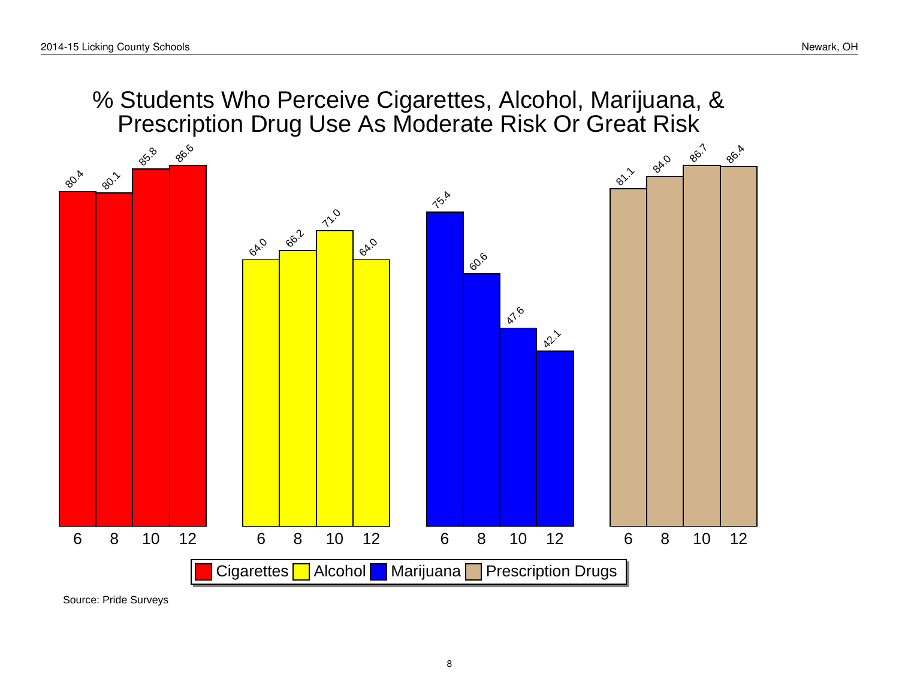% Students Who Perceive Cigarettes, Alcohol, Marijuana, & Prescription Drug Use As Moderate Risk Or Great Risk

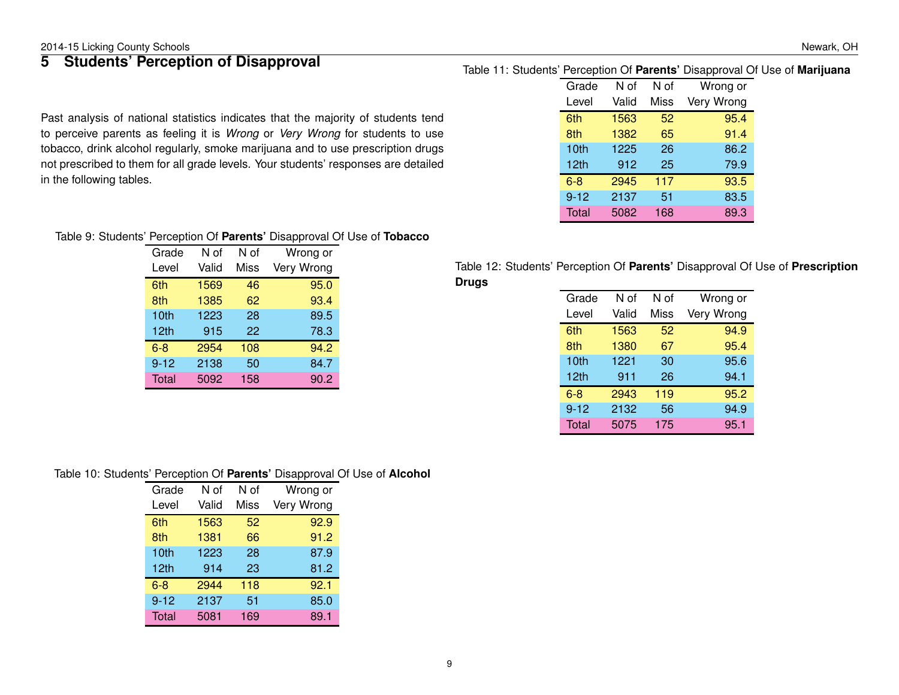## <span id="page-8-0"></span>**5 Students' Perception of Disapproval**

Past analysis of national statistics indicates that the majority of students tend to perceive parents as feeling it is *Wrong* or *Very Wrong* for students to use tobacco, drink alcohol regularly, smoke marijuana and to use prescription drugs not prescribed to them for all grade levels. Your students' responses are detailed in the following tables.

### Table 11: Students' Perception Of **Parents'** Disapproval Of Use of **Marijuana**

| Grade    | N of  | N of | Wrong or   |
|----------|-------|------|------------|
| Level    | Valid | Miss | Very Wrong |
| 6th      | 1563  | 52   | 95.4       |
| 8th      | 1382  | 65   | 91.4       |
| 10th     | 1225  | 26   | 86.2       |
| 12th     | 912   | 25   | 79.9       |
| $6 - 8$  | 2945  | 117  | 93.5       |
| $9 - 12$ | 2137  | 51   | 83.5       |
| Total    | 5082  | 168  | 89.3       |

#### Table 9: Students' Perception Of **Parents'** Disapproval Of Use of **Tobacco**

| Grade    | N of  | N of | Wrong or   |
|----------|-------|------|------------|
| Level    | Valid | Miss | Very Wrong |
| 6th      | 1569  | 46   | 95.0       |
| 8th      | 1385  | 62   | 93.4       |
| 10th     | 1223  | 28   | 89.5       |
| 12th     | 915   | 22   | 78.3       |
| 6-8      | 2954  | 108  | 94.2       |
| $9 - 12$ | 2138  | 50   | 84.7       |
| Total    | 5092  | 158  | 90.2       |

#### Table 12: Students' Perception Of **Parents'** Disapproval Of Use of **Prescription Drugs**

| Grade    | N of  | N of | Wrong or   |
|----------|-------|------|------------|
| Level    | Valid | Miss | Very Wrong |
| 6th      | 1563  | 52   | 94.9       |
| 8th      | 1380  | 67   | 95.4       |
| 10th     | 1221  | 30   | 95.6       |
| 12th     | 911   | 26   | 94.1       |
| $6 - 8$  | 2943  | 119  | 95.2       |
| $9 - 12$ | 2132  | 56   | 94.9       |
| Total    | 5075  | 175  | 95.1       |

#### Table 10: Students' Perception Of **Parents'** Disapproval Of Use of **Alcohol**

| Grade    | N of  | N of        | Wrong or   |
|----------|-------|-------------|------------|
| Level    | Valid | <b>Miss</b> | Very Wrong |
| 6th      | 1563  | 52          | 92.9       |
| 8th      | 1381  | 66          | 91.2       |
| 10th     | 1223  | 28          | 87.9       |
| 12th     | 914   | 23          | 81.2       |
| $6 - 8$  | 2944  | 118         | 92.1       |
| $9 - 12$ | 2137  | 51          | 85.0       |
| Total    | 5081  | 169         | 89.1       |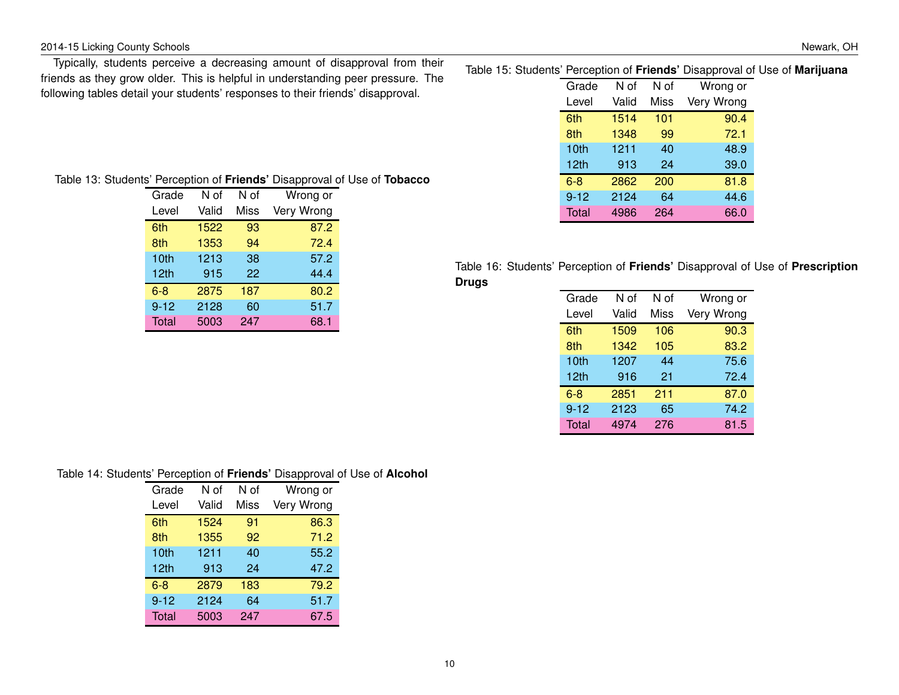#### 2014-15 Licking County Schools Newark, OH

Typically, students perceive a decreasing amount of disapproval from their friends as they grow older. This is helpful in understanding peer pressure. The following tables detail your students' responses to their friends' disapproval.

|  |  |  |  |  |  | Table 15: Students' Perception of Friends' Disapproval of Use of Marijuana |
|--|--|--|--|--|--|----------------------------------------------------------------------------|
|--|--|--|--|--|--|----------------------------------------------------------------------------|

| Grade    | N of  | N of | Wrong or   |
|----------|-------|------|------------|
| Level    | Valid | Miss | Very Wrong |
| 6th      | 1514  | 101  | 90.4       |
| 8th      | 1348  | 99   | 72.1       |
| 10th     | 1211  | 40   | 48.9       |
| 12th     | 913   | 24   | 39.0       |
| $6 - 8$  | 2862  | 200  | 81.8       |
| $9 - 12$ | 2124  | 64   | 44.6       |
| Total    | 4986  | 264  | 66.0       |
|          |       |      |            |

|  |  | Table 13: Students' Perception of Friends' Disapproval of Use of Tobacco |  |  |
|--|--|--------------------------------------------------------------------------|--|--|
|--|--|--------------------------------------------------------------------------|--|--|

| Grade            | N of  | N of | Wrong or   |
|------------------|-------|------|------------|
| Level            | Valid | Miss | Very Wrong |
| 6th              | 1522  | 93   | 87.2       |
| 8th              | 1353  | 94   | 72.4       |
| 10th             | 1213  | 38   | 57.2       |
| 12 <sub>th</sub> | 915   | 22   | 44.4       |
| $6 - 8$          | 2875  | 187  | 80.2       |
| $9 - 12$         | 2128  | 60   | 51.7       |
| <b>Total</b>     | 5003  | 247  | 68.1       |

|       |  |  |  | Table 16: Students' Perception of Friends' Disapproval of Use of Prescription |
|-------|--|--|--|-------------------------------------------------------------------------------|
| Drugs |  |  |  |                                                                               |

| Grade        | N of  | N of | Wrong or   |
|--------------|-------|------|------------|
| Level        | Valid | Miss | Very Wrong |
| 6th          | 1509  | 106  | 90.3       |
| 8th          | 1342  | 105  | 83.2       |
| 10th         | 1207  | 44   | 75.6       |
| 12th         | 916   | 21   | 72.4       |
| $6 - 8$      | 2851  | 211  | 87.0       |
| $9 - 12$     | 2123  | 65   | 74.2       |
| <b>Total</b> | 4974  | 276  | 81.5       |
|              |       |      |            |

#### Table 14: Students' Perception of **Friends'** Disapproval of Use of **Alcohol**

| Grade    | N of  | N of | Wrong or   |
|----------|-------|------|------------|
| Level    | Valid | Miss | Very Wrong |
| 6th      | 1524  | 91   | 86.3       |
| 8th      | 1355  | 92   | 71.2       |
| 10th     | 1211  | 40   | 55.2       |
| 12th     | 913   | 24   | 47.2       |
| 6-8      | 2879  | 183  | 79.2       |
| $9 - 12$ | 2124  | 64   | 51.7       |
| Total    | 5003  | 247  | 67.5       |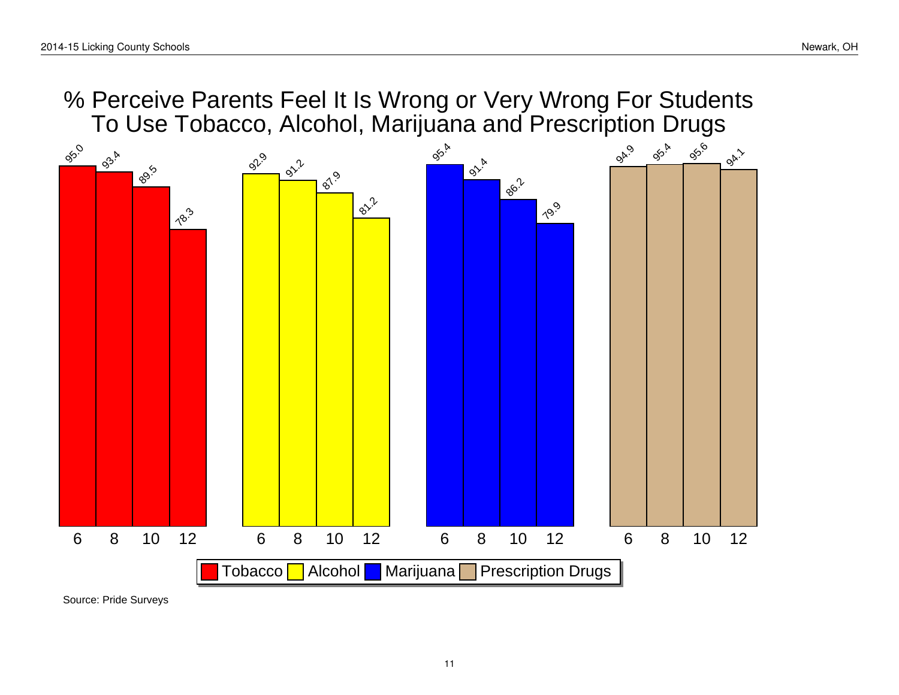% Perceive Parents Feel It Is Wrong or Very Wrong For Students To Use Tobacco, Alcohol, Marijuana and Prescription Drugs

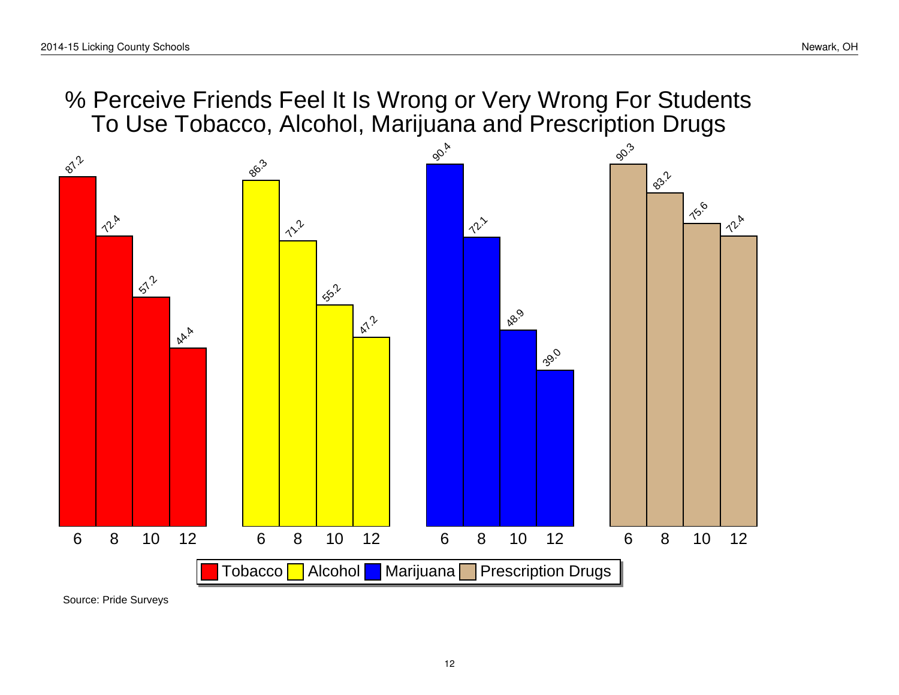# % Perceive Friends Feel It Is Wrong or Very Wrong For Students To Use Tobacco, Alcohol, Marijuana and Prescription Drugs

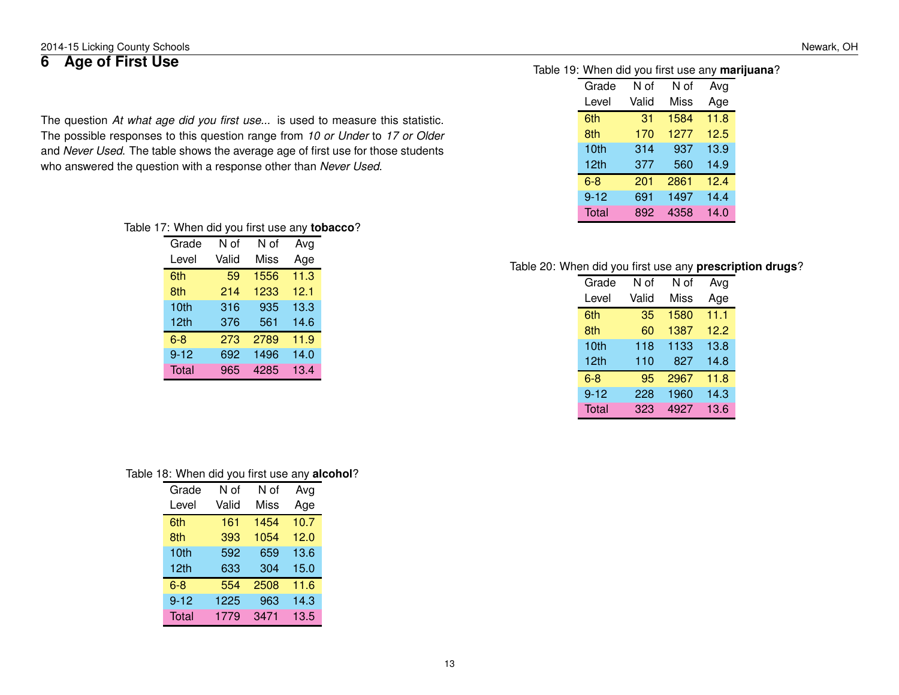#### 2014-15 Licking County Schools Newark, OH

## <span id="page-12-0"></span>**6 Age of First Use**

The question *At what age did you first use...* is used to measure this statistic. The possible responses to this question range from *10 or Under* to *17 or Older* and *Never Used*. The table shows the average age of first use for those students who answered the question with a response other than *Never Used*.

#### Table 17: When did you first use any **tobacco**?

| Grade    | N of  | N of        | Avg  |
|----------|-------|-------------|------|
| Level    | Valid | <b>Miss</b> | Age  |
| 6th      | 59    | 1556        | 11.3 |
| 8th      | 214   | 1233        | 12.1 |
| 10th     | 316   | 935         | 13.3 |
| 12th     | 376   | 561         | 14.6 |
| $6-8$    | 273   | 2789        | 11.9 |
| $9 - 12$ | 692   | 1496        | 14.0 |
| Total    | 965   | 4285        | 13.4 |

| Table 18: When did you first use any alcohol? |  |  |
|-----------------------------------------------|--|--|
|-----------------------------------------------|--|--|

| Grade            | N of  | N of        | Avg  |
|------------------|-------|-------------|------|
| Level            | Valid | <b>Miss</b> | Age  |
| 6th              | 161   | 1454        | 10.7 |
| 8th              | 393   | 1054        | 12.0 |
| 10th             | 592   | 659         | 13.6 |
| 12 <sub>th</sub> | 633   | 304         | 15.0 |
| $6 - 8$          | 554   | 2508        | 11.6 |
| $9 - 12$         | 1225  | 963         | 14.3 |
| Total            | 1779  | 3471        | 13.5 |

#### Table 19: When did you first use any **marijuana**?

| Grade        | N of  | N of | Avg  |
|--------------|-------|------|------|
| Level        | Valid | Miss | Age  |
| 6th          | 31    | 1584 | 11.8 |
| 8th          | 170   | 1277 | 12.5 |
| 10th         | 314   | 937  | 13.9 |
| 12th         | 377   | 560  | 14.9 |
| $6 - 8$      | 201   | 2861 | 12.4 |
| $9 - 12$     | 691   | 1497 | 14.4 |
| <b>Total</b> | 892   | 4358 | 14.0 |

#### Table 20: When did you first use any **prescription drugs**?

| Grade        | N of  | N of        | Avg  |
|--------------|-------|-------------|------|
| Level        | Valid | <b>Miss</b> | Age  |
| 6th          | 35    | 1580        | 11.1 |
| 8th          | 60    | 1387        | 12.2 |
| 10th         | 118   | 1133        | 13.8 |
| 12th         | 110   | 827         | 14.8 |
| $6 - 8$      | 95    | 2967        | 11.8 |
| $9 - 12$     | 228   | 1960        | 14.3 |
| <b>Total</b> | 323   | 4927        | 13.6 |
|              |       |             |      |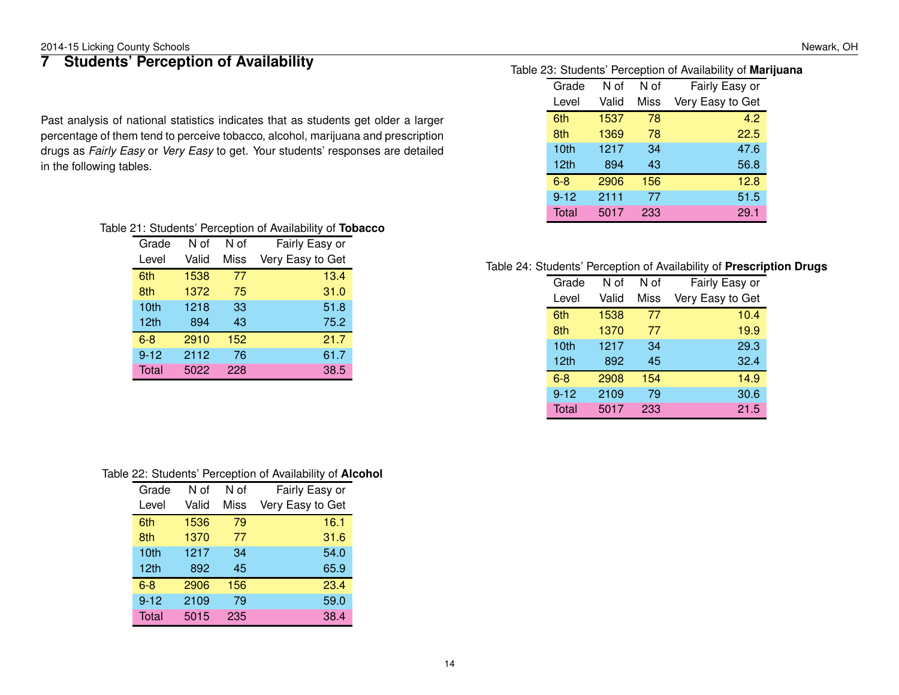## <span id="page-13-0"></span>**7 Students' Perception of Availability**

Past analysis of national statistics indicates that as students get older a larger percentage of them tend to perceive tobacco, alcohol, marijuana and prescription drugs as *Fairly Easy* or *Very Easy* to get. Your students' responses are detailed in the following tables.

|  |  | Table 21: Students' Perception of Availability of Tobacco |
|--|--|-----------------------------------------------------------|
|--|--|-----------------------------------------------------------|

| Grade            | N of  | N of | Fairly Easy or   |
|------------------|-------|------|------------------|
| Level            | Valid | Miss | Very Easy to Get |
| 6th              | 1538  | 77   | 13.4             |
| 8th              | 1372  | 75   | 31.0             |
| 10th             | 1218  | 33   | 51.8             |
| 12 <sub>th</sub> | 894   | 43   | 75.2             |
| $6 - 8$          | 2910  | 152  | 21.7             |
| $9 - 12$         | 2112  | 76   | 61.7             |
| Total            | 5022  | 228  | 38.5             |

| Table 22: Students' Perception of Availability of Alcohol |  |  |  |  |  |  |
|-----------------------------------------------------------|--|--|--|--|--|--|
|-----------------------------------------------------------|--|--|--|--|--|--|

| Grade    | N of  | N of | Fairly Easy or   |
|----------|-------|------|------------------|
| Level    | Valid | Miss | Very Easy to Get |
| 6th      | 1536  | 79   | 16.1             |
| 8th      | 1370  | 77   | 31.6             |
| 10th     | 1217  | 34   | 54.0             |
| 12th     | 892   | 45   | 65.9             |
| $6 - 8$  | 2906  | 156  | 23.4             |
| $9 - 12$ | 2109  | 79   | 59.0             |
| Total    | 5015  | 235  | 38.4             |

#### Table 23: Students' Perception of Availability of **Marijuana**

| Grade            | N of  | N of | Fairly Easy or   |
|------------------|-------|------|------------------|
| Level            | Valid | Miss | Very Easy to Get |
| 6th              | 1537  | 78   | 4.2              |
| 8th              | 1369  | 78   | 22.5             |
| 10th             | 1217  | 34   | 47.6             |
| 12 <sub>th</sub> | 894   | 43   | 56.8             |
| $6 - 8$          | 2906  | 156  | 12.8             |
| $9 - 12$         | 2111  | 77   | 51.5             |
| Total            | 5017  | 233  | 29.1             |

#### Table 24: Students' Perception of Availability of **Prescription Drugs**

| Grade            | N of  | N of | Fairly Easy or   |
|------------------|-------|------|------------------|
| Level            | Valid | Miss | Very Easy to Get |
| 6th              | 1538  | 77   | 10.4             |
| 8th              | 1370  | 77   | 19.9             |
| 10th             | 1217  | 34   | 29.3             |
| 12 <sub>th</sub> | 892   | 45   | 32.4             |
| $6 - 8$          | 2908  | 154  | 14.9             |
| $9 - 12$         | 2109  | 79   | 30.6             |
| <b>Total</b>     | 5017  | 233  | 21.5             |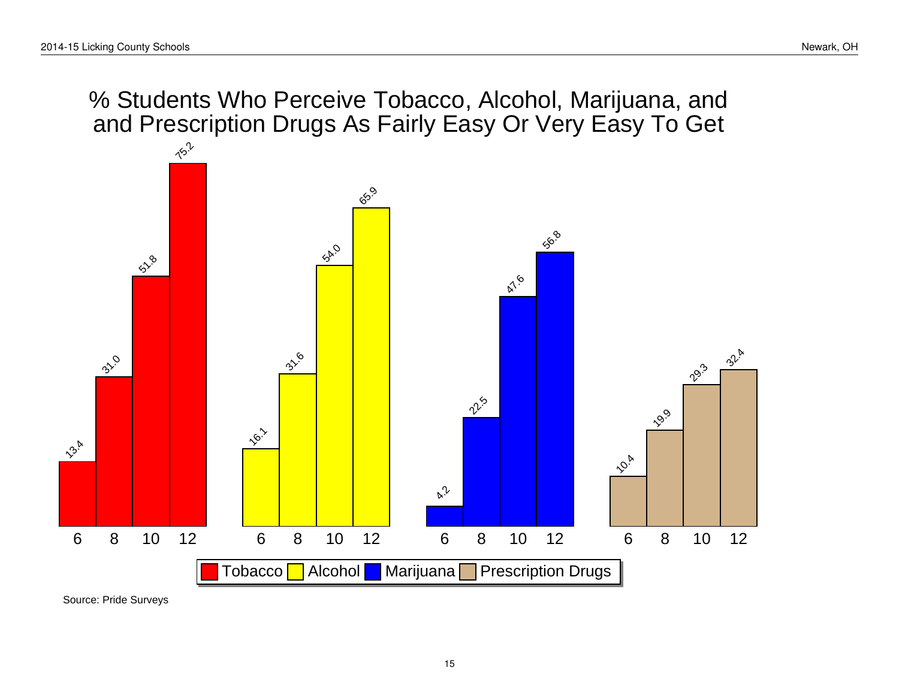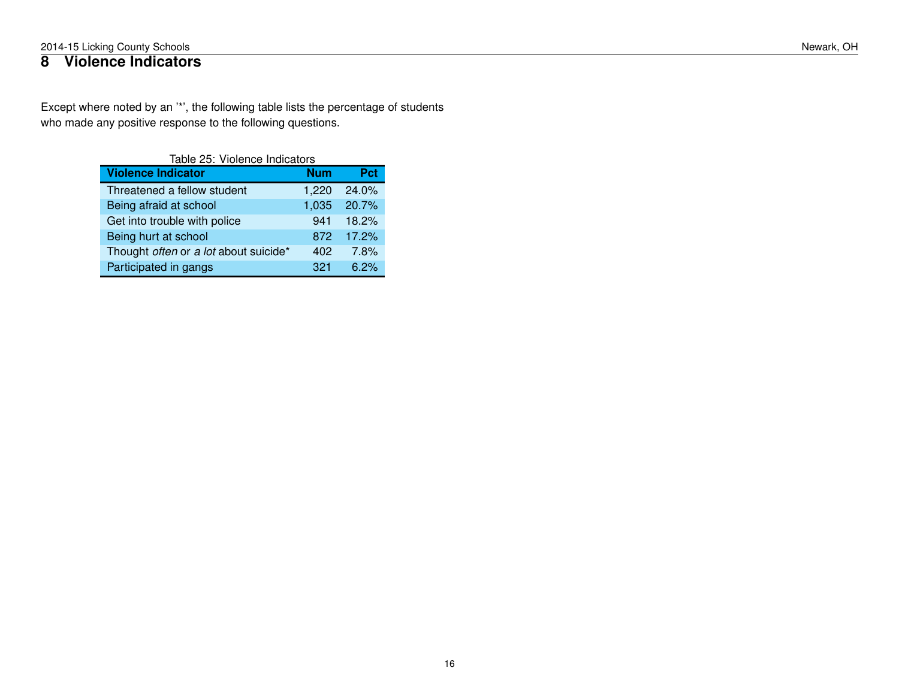## <span id="page-15-0"></span>**8 Violence Indicators**

Except where noted by an '\*', the following table lists the percentage of students who made any positive response to the following questions.

| Table 25: Violence Indicators         |            |       |  |  |  |
|---------------------------------------|------------|-------|--|--|--|
| <b>Violence Indicator</b>             | <b>Num</b> | Pct   |  |  |  |
| Threatened a fellow student           | 1,220      | 24.0% |  |  |  |
| Being afraid at school                | 1,035      | 20.7% |  |  |  |
| Get into trouble with police          | 941        | 18.2% |  |  |  |
| Being hurt at school                  | 872        | 17.2% |  |  |  |
| Thought often or a lot about suicide* | 402        | 7.8%  |  |  |  |
| Participated in gangs                 | 321        | 6.2%  |  |  |  |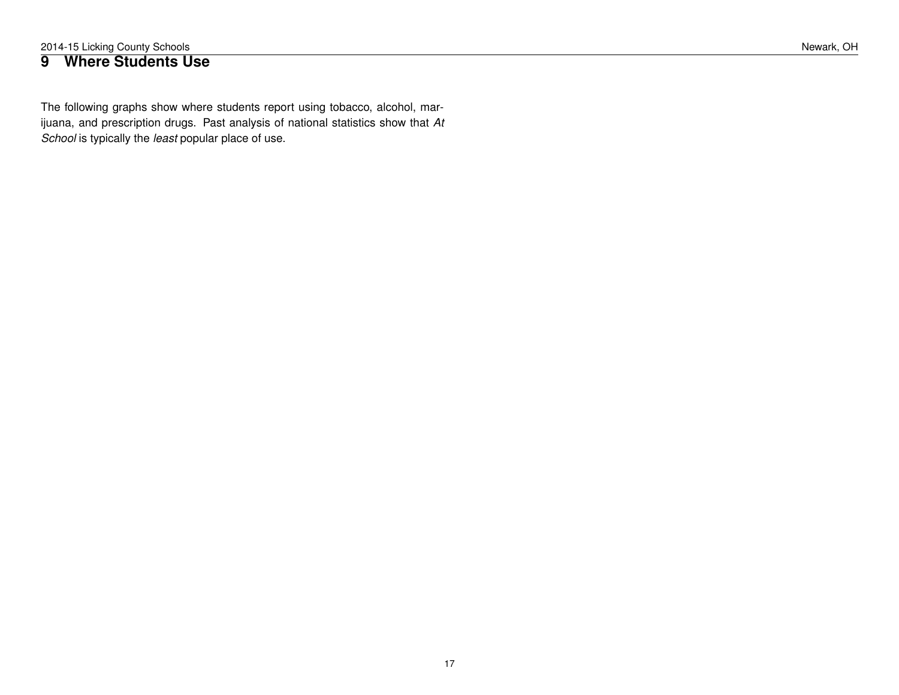### <span id="page-16-0"></span>**9 Where Students Use**

The following graphs show where students report using tobacco, alcohol, marijuana, and prescription drugs. Past analysis of national statistics show that *At School* is typically the *least* popular place of use.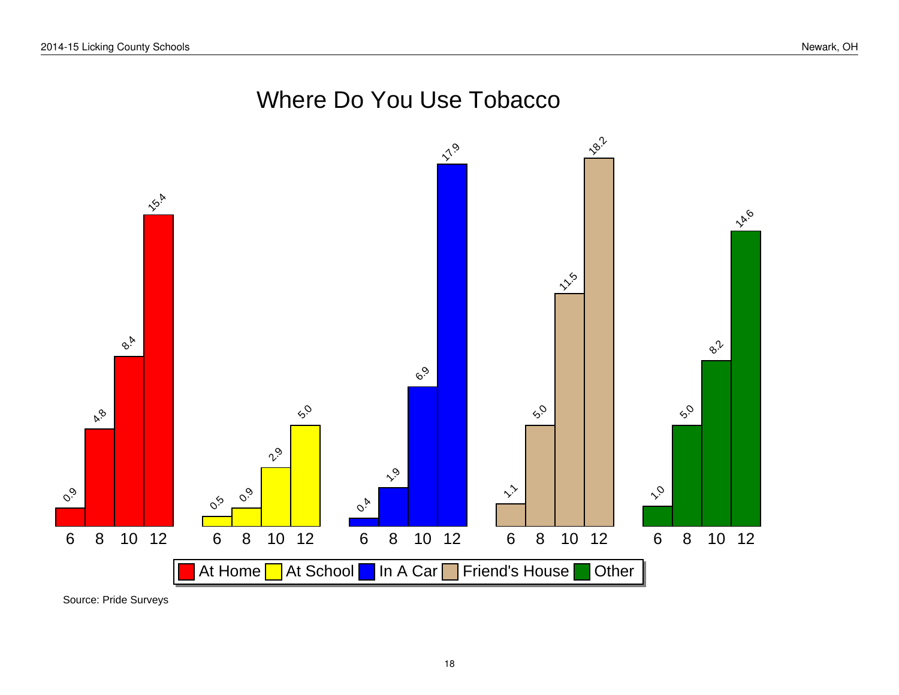# Where Do You Use Tobacco

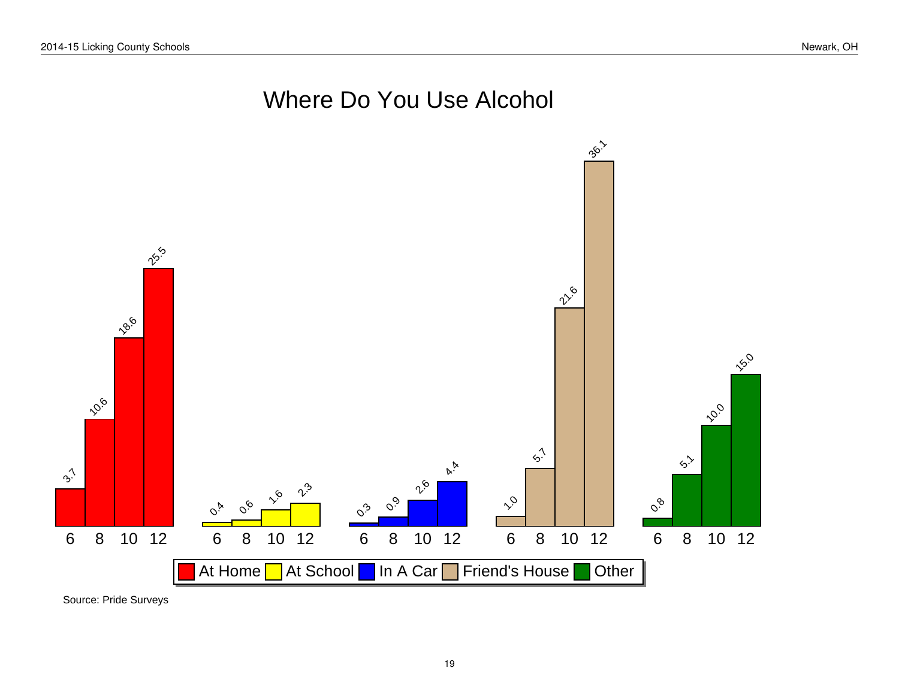# Where Do You Use Alcohol



Source: Pride Surveys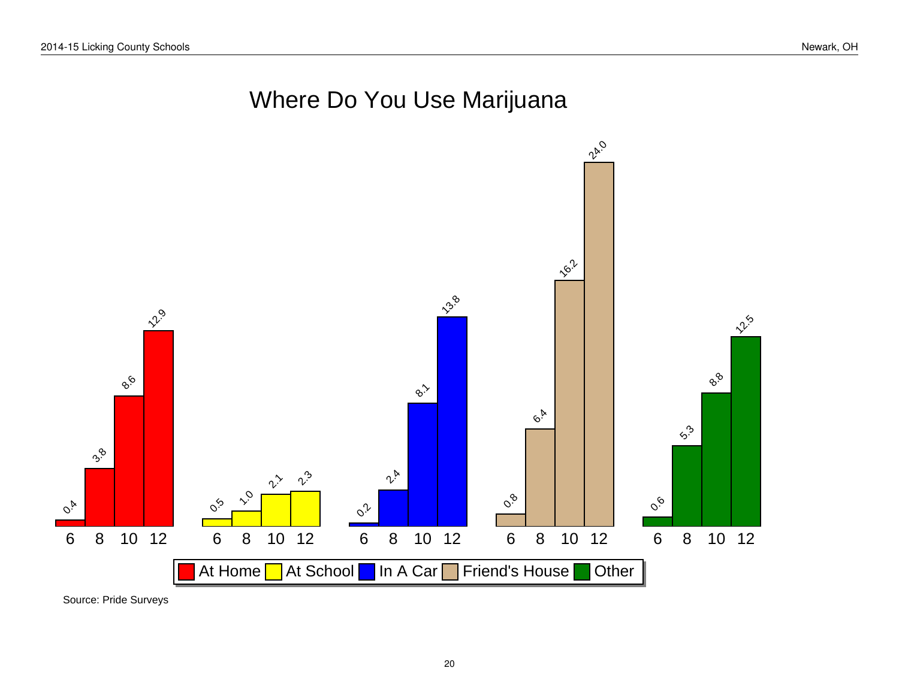# Where Do You Use Marijuana

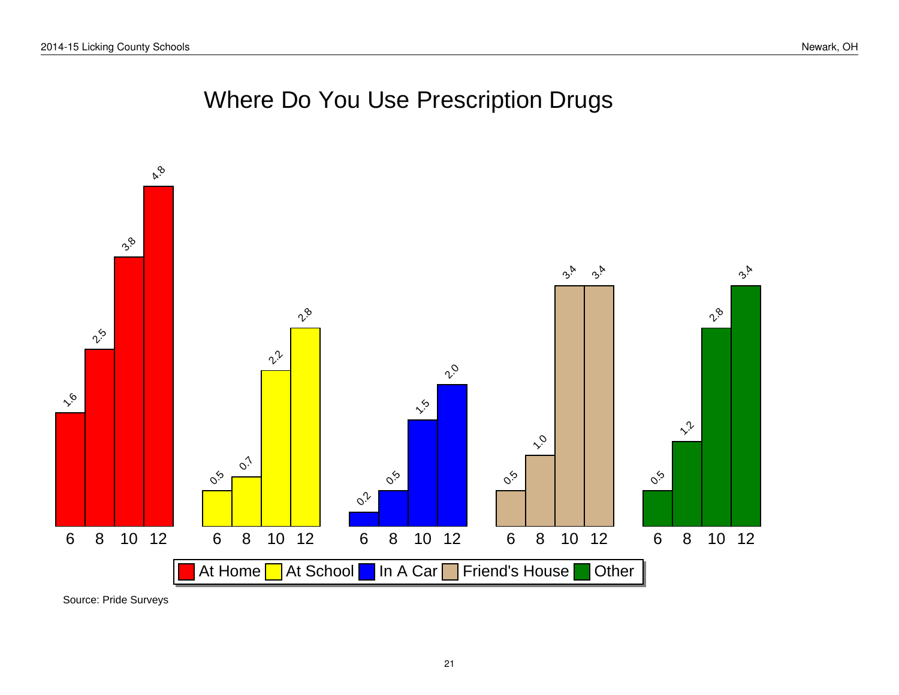# Where Do You Use Prescription Drugs

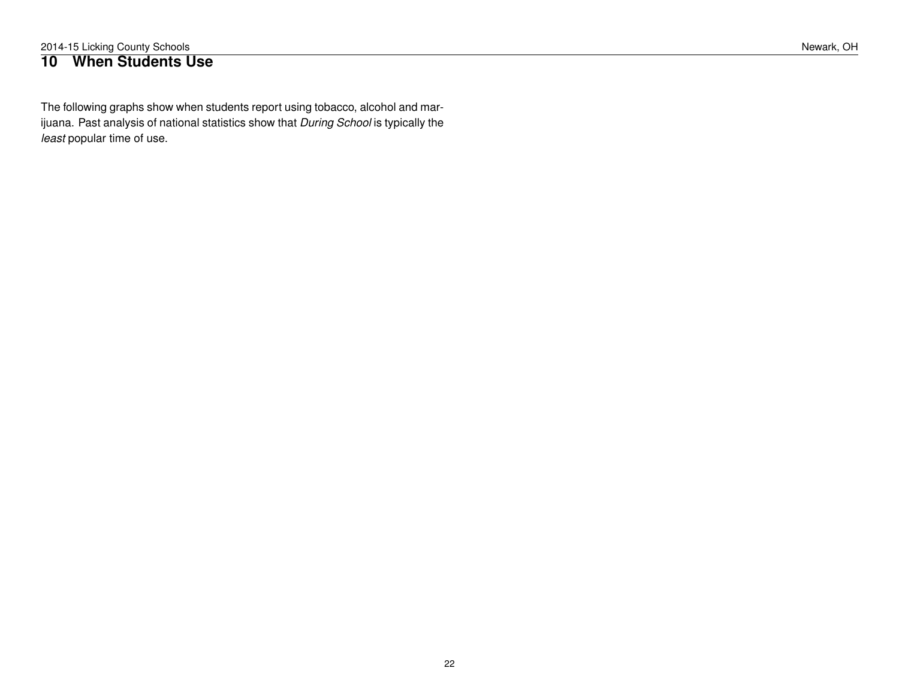### <span id="page-21-0"></span>**10 When Students Use**

The following graphs show when students report using tobacco, alcohol and marijuana. Past analysis of national statistics show that *During School* is typically the *least* popular time of use.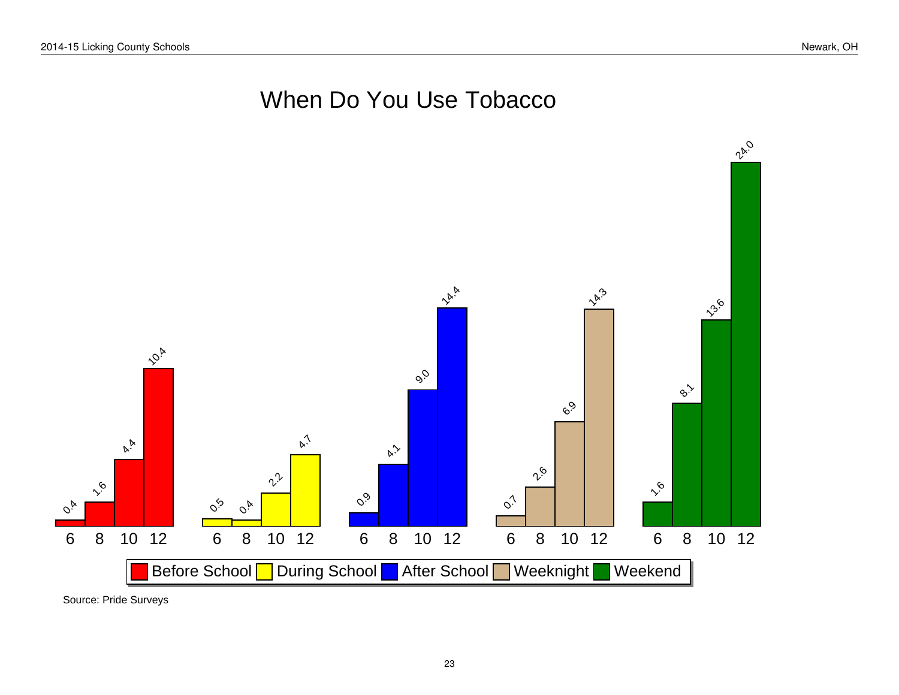# When Do You Use Tobacco



Source: Pride Surveys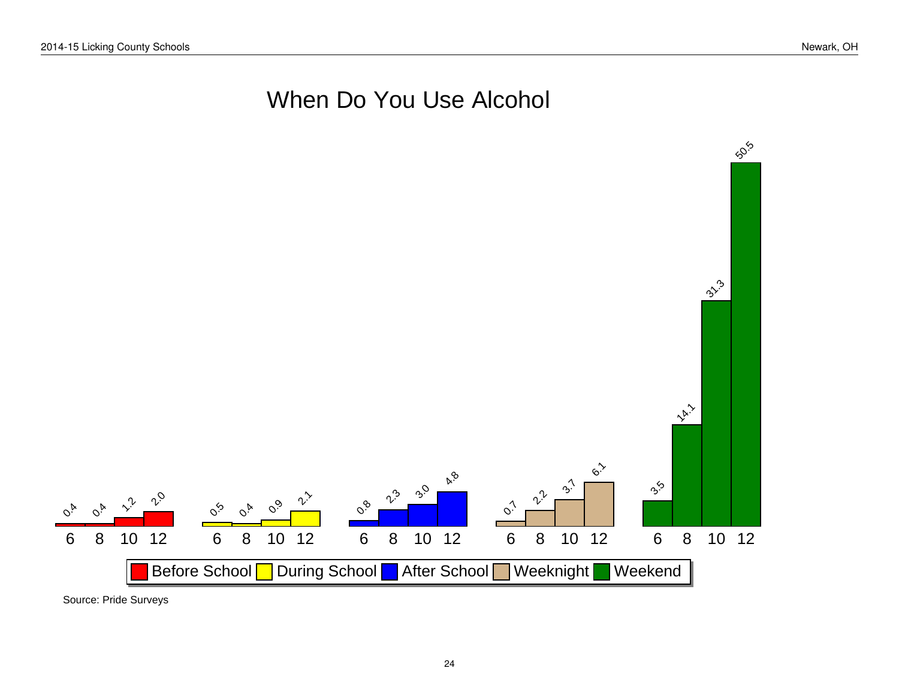# When Do You Use Alcohol



Source: Pride Surveys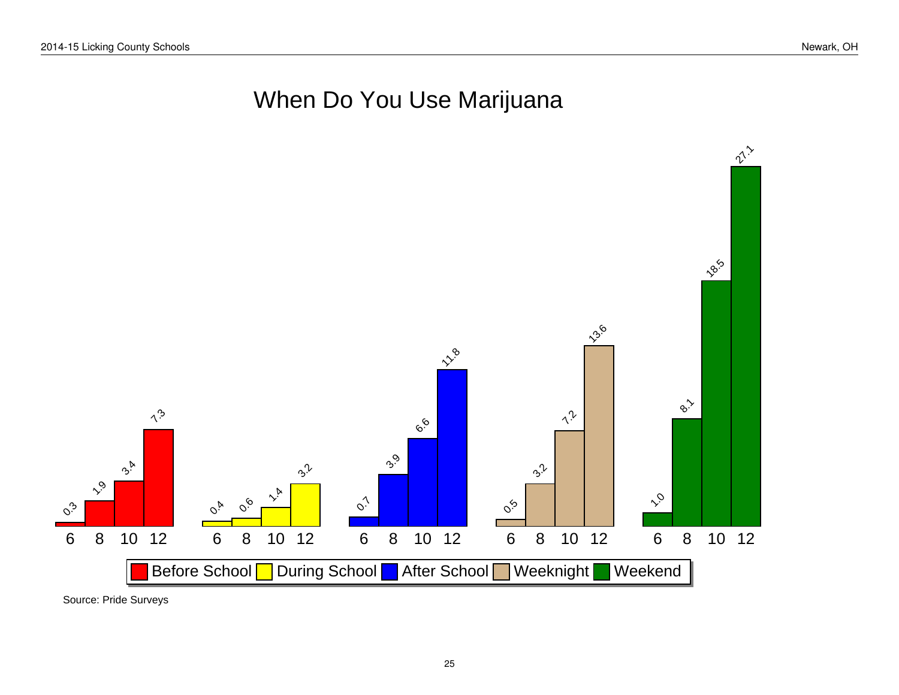# When Do You Use Marijuana



Source: Pride Surveys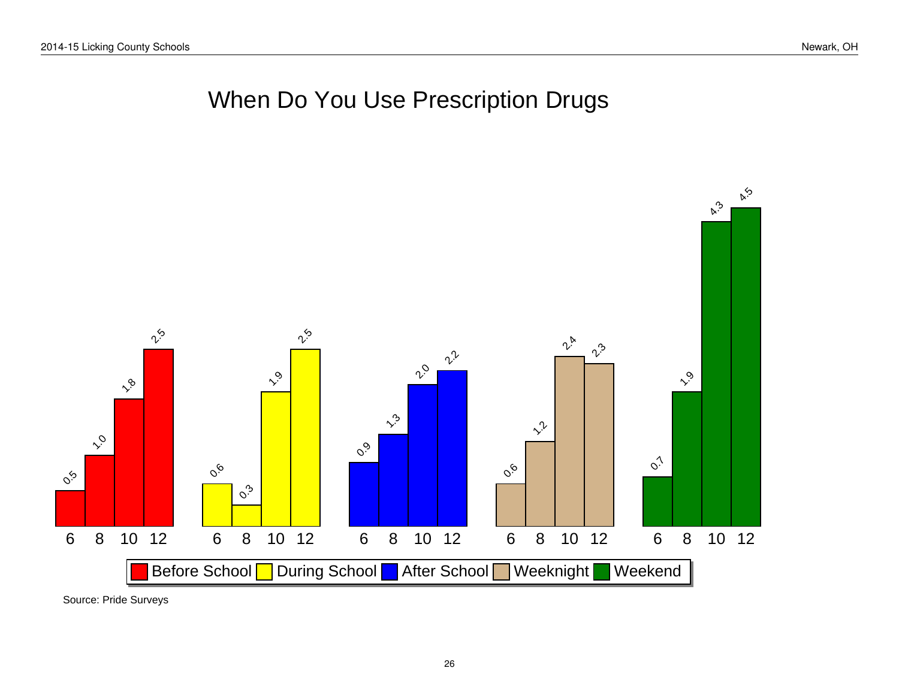# When Do You Use Prescription Drugs



Source: Pride Surveys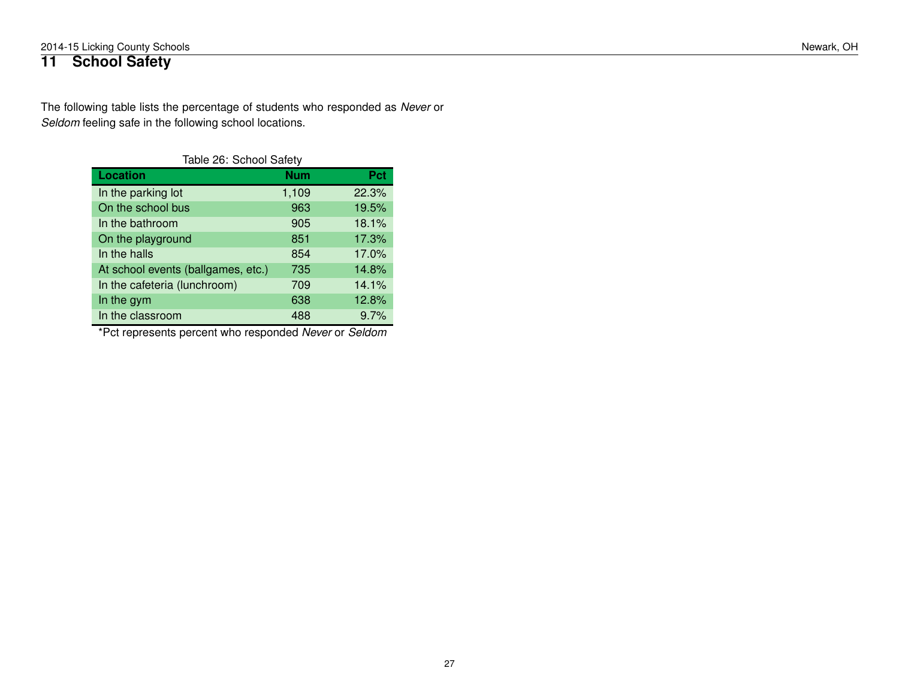## <span id="page-26-0"></span>**11 School Safety**

The following table lists the percentage of students who responded as *Never* or *Seldom* feeling safe in the following school locations.

| Table 26: School Safety            |            |          |  |  |  |
|------------------------------------|------------|----------|--|--|--|
| <b>Location</b>                    | <b>Num</b> | Pct      |  |  |  |
| In the parking lot                 | 1,109      | 22.3%    |  |  |  |
| On the school bus                  | 963        | 19.5%    |  |  |  |
| In the bathroom                    | 905        | 18.1%    |  |  |  |
| On the playground                  | 851        | 17.3%    |  |  |  |
| In the halls                       | 854        | $17.0\%$ |  |  |  |
| At school events (ballgames, etc.) | 735        | 14.8%    |  |  |  |
| In the cafeteria (lunchroom)       | 709        | 14.1%    |  |  |  |
| In the gym                         | 638        | 12.8%    |  |  |  |
| In the classroom                   | 488        | 9.7%     |  |  |  |

\*Pct represents percent who responded *Never* or *Seldom*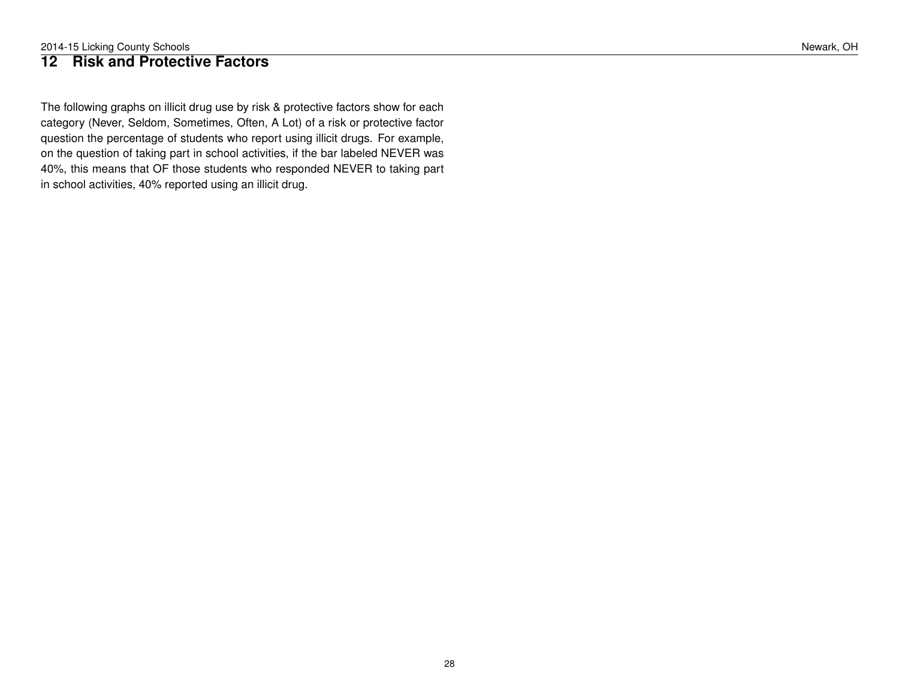### <span id="page-27-0"></span>**12 Risk and Protective Factors**

The following graphs on illicit drug use by risk & protective factors show for each category (Never, Seldom, Sometimes, Often, A Lot) of a risk or protective factor question the percentage of students who report using illicit drugs. For example, on the question of taking part in school activities, if the bar labeled NEVER was 40%, this means that OF those students who responded NEVER to taking part in school activities, 40% reported using an illicit drug.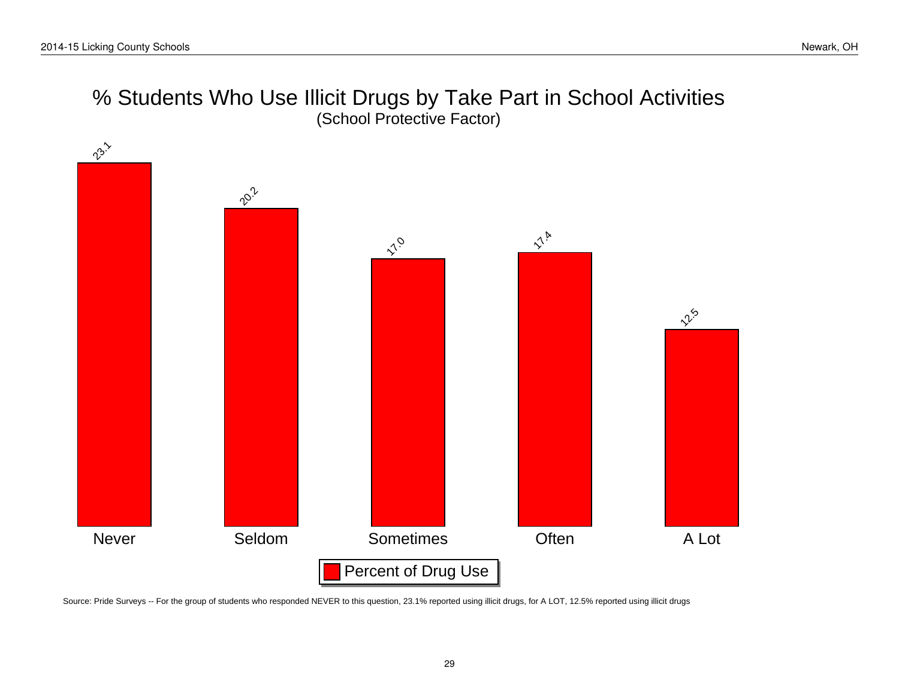# % Students Who Use Illicit Drugs by Take Part in School Activities (School Protective Factor)



Source: Pride Surveys -- For the group of students who responded NEVER to this question, 23.1% reported using illicit drugs, for A LOT, 12.5% reported using illicit drugs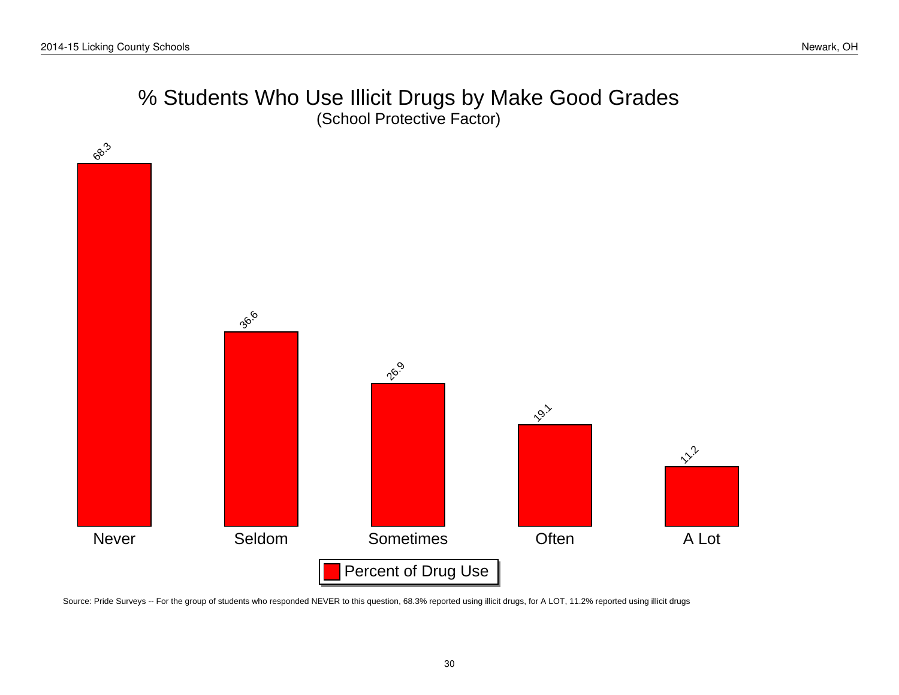# % Students Who Use Illicit Drugs by Make Good Grades (School Protective Factor)



Source: Pride Surveys -- For the group of students who responded NEVER to this question, 68.3% reported using illicit drugs, for A LOT, 11.2% reported using illicit drugs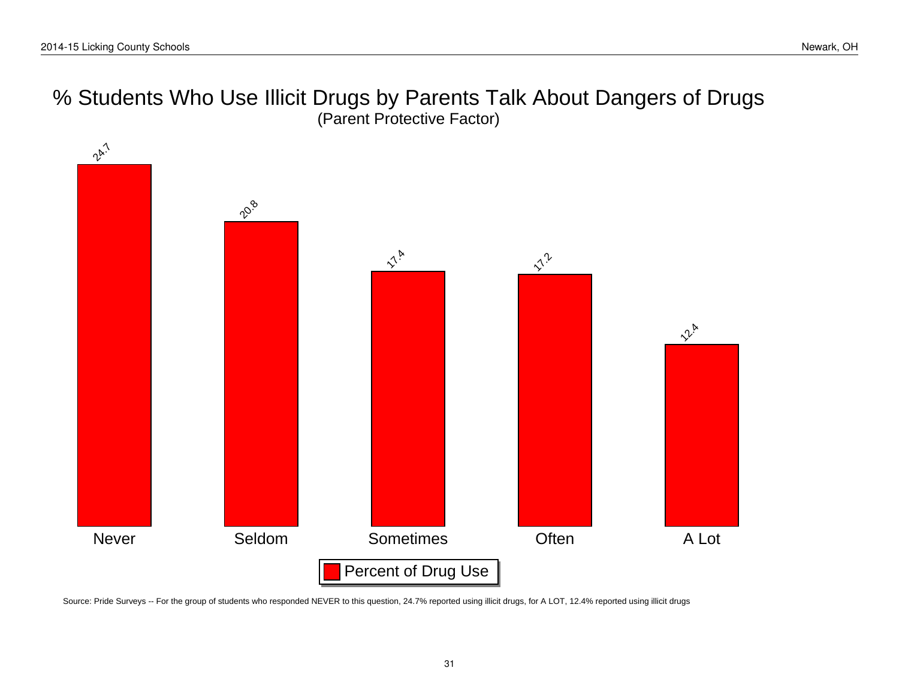# % Students Who Use Illicit Drugs by Parents Talk About Dangers of Drugs (Parent Protective Factor)



Source: Pride Surveys -- For the group of students who responded NEVER to this question, 24.7% reported using illicit drugs, for A LOT, 12.4% reported using illicit drugs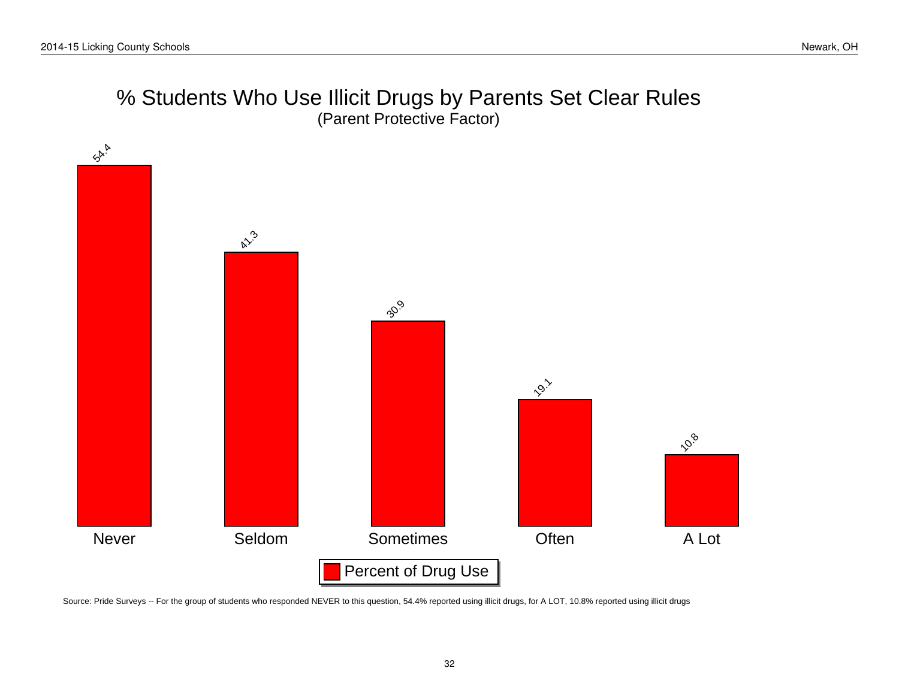# % Students Who Use Illicit Drugs by Parents Set Clear Rules (Parent Protective Factor)



Source: Pride Surveys -- For the group of students who responded NEVER to this question, 54.4% reported using illicit drugs, for A LOT, 10.8% reported using illicit drugs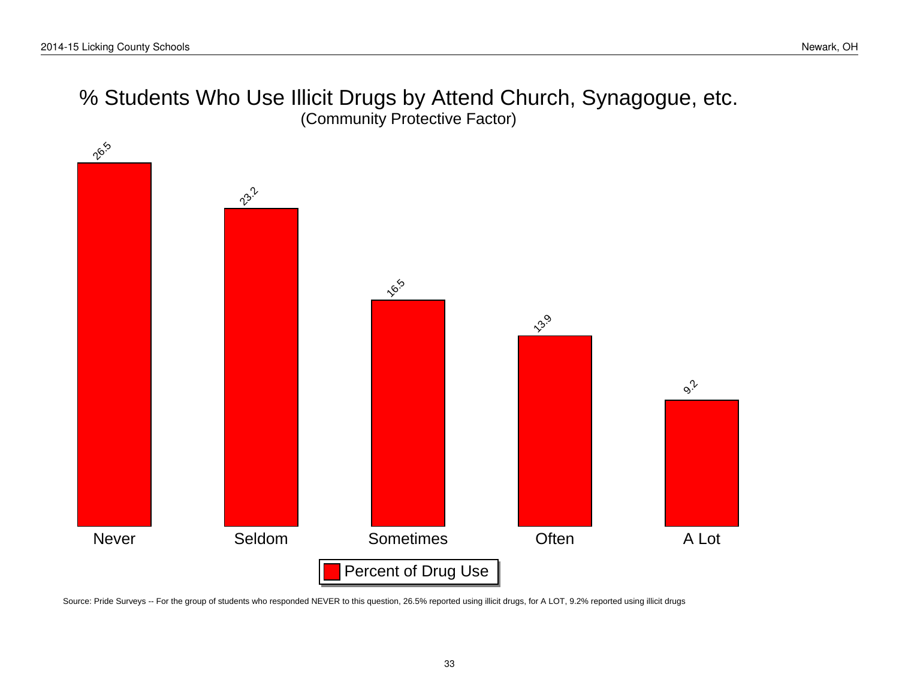# % Students Who Use Illicit Drugs by Attend Church, Synagogue, etc. (Community Protective Factor)



Source: Pride Surveys -- For the group of students who responded NEVER to this question, 26.5% reported using illicit drugs, for A LOT, 9.2% reported using illicit drugs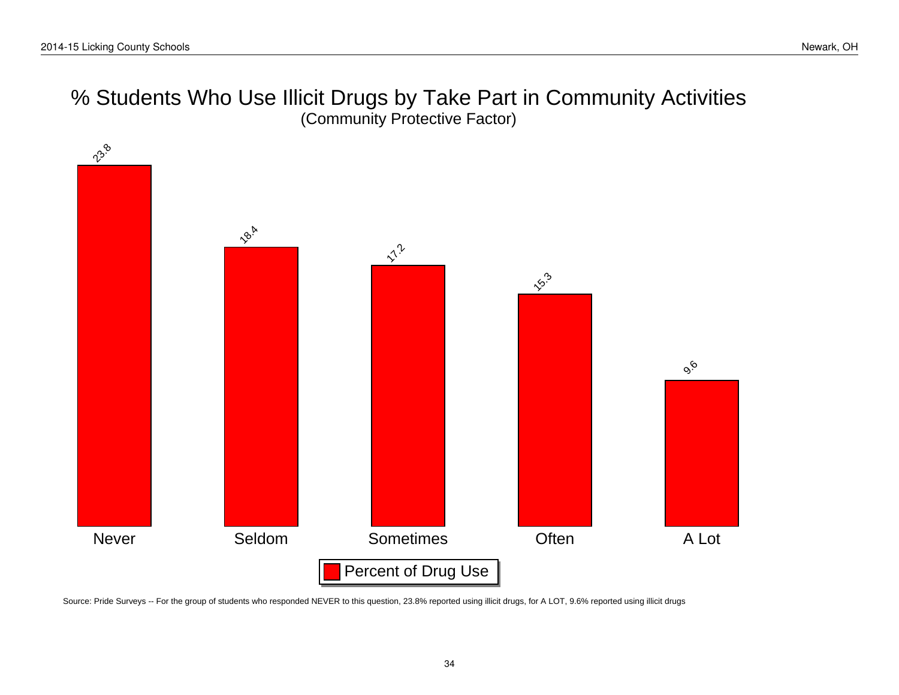# % Students Who Use Illicit Drugs by Take Part in Community Activities (Community Protective Factor)



Source: Pride Surveys -- For the group of students who responded NEVER to this question, 23.8% reported using illicit drugs, for A LOT, 9.6% reported using illicit drugs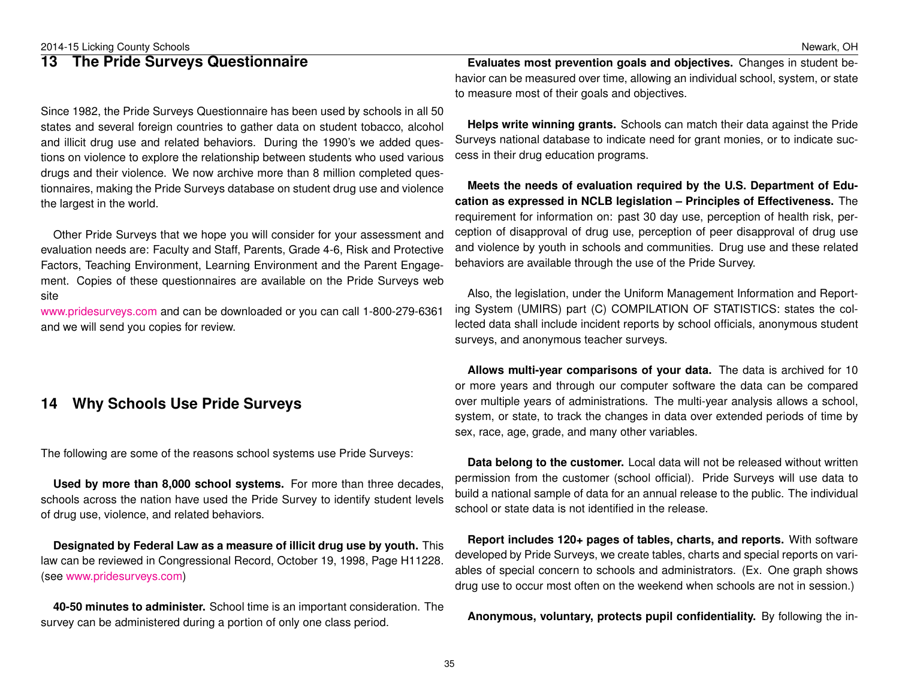## <span id="page-34-0"></span>**13 The Pride Surveys Questionnaire**

Since 1982, the Pride Surveys Questionnaire has been used by schools in all 50 states and several foreign countries to gather data on student tobacco, alcohol and illicit drug use and related behaviors. During the 1990's we added questions on violence to explore the relationship between students who used various drugs and their violence. We now archive more than 8 million completed questionnaires, making the Pride Surveys database on student drug use and violence the largest in the world.

Other Pride Surveys that we hope you will consider for your assessment and evaluation needs are: Faculty and Staff, Parents, Grade 4-6, Risk and Protective Factors, Teaching Environment, Learning Environment and the Parent Engagement. Copies of these questionnaires are available on the Pride Surveys web site

[www.pridesurveys.com](http://www.pridesurveys.com) and can be downloaded or you can call 1-800-279-6361 and we will send you copies for review.

### <span id="page-34-1"></span>**14 Why Schools Use Pride Surveys**

The following are some of the reasons school systems use Pride Surveys:

**Used by more than 8,000 school systems.** For more than three decades, schools across the nation have used the Pride Survey to identify student levels of drug use, violence, and related behaviors.

**Designated by Federal Law as a measure of illicit drug use by youth.** This law can be reviewed in Congressional Record, October 19, 1998, Page H11228. (see [www.pridesurveys.com\)](http://www.pridesurveys.com)

**40-50 minutes to administer.** School time is an important consideration. The survey can be administered during a portion of only one class period.

**Evaluates most prevention goals and objectives.** Changes in student behavior can be measured over time, allowing an individual school, system, or state to measure most of their goals and objectives.

**Helps write winning grants.** Schools can match their data against the Pride Surveys national database to indicate need for grant monies, or to indicate success in their drug education programs.

**Meets the needs of evaluation required by the U.S. Department of Education as expressed in NCLB legislation – Principles of Effectiveness.** The requirement for information on: past 30 day use, perception of health risk, perception of disapproval of drug use, perception of peer disapproval of drug use and violence by youth in schools and communities. Drug use and these related behaviors are available through the use of the Pride Survey.

Also, the legislation, under the Uniform Management Information and Reporting System (UMIRS) part (C) COMPILATION OF STATISTICS: states the collected data shall include incident reports by school officials, anonymous student surveys, and anonymous teacher surveys.

**Allows multi-year comparisons of your data.** The data is archived for 10 or more years and through our computer software the data can be compared over multiple years of administrations. The multi-year analysis allows a school, system, or state, to track the changes in data over extended periods of time by sex, race, age, grade, and many other variables.

**Data belong to the customer.** Local data will not be released without written permission from the customer (school official). Pride Surveys will use data to build a national sample of data for an annual release to the public. The individual school or state data is not identified in the release.

**Report includes 120+ pages of tables, charts, and reports.** With software developed by Pride Surveys, we create tables, charts and special reports on variables of special concern to schools and administrators. (Ex. One graph shows drug use to occur most often on the weekend when schools are not in session.)

**Anonymous, voluntary, protects pupil confidentiality.** By following the in-